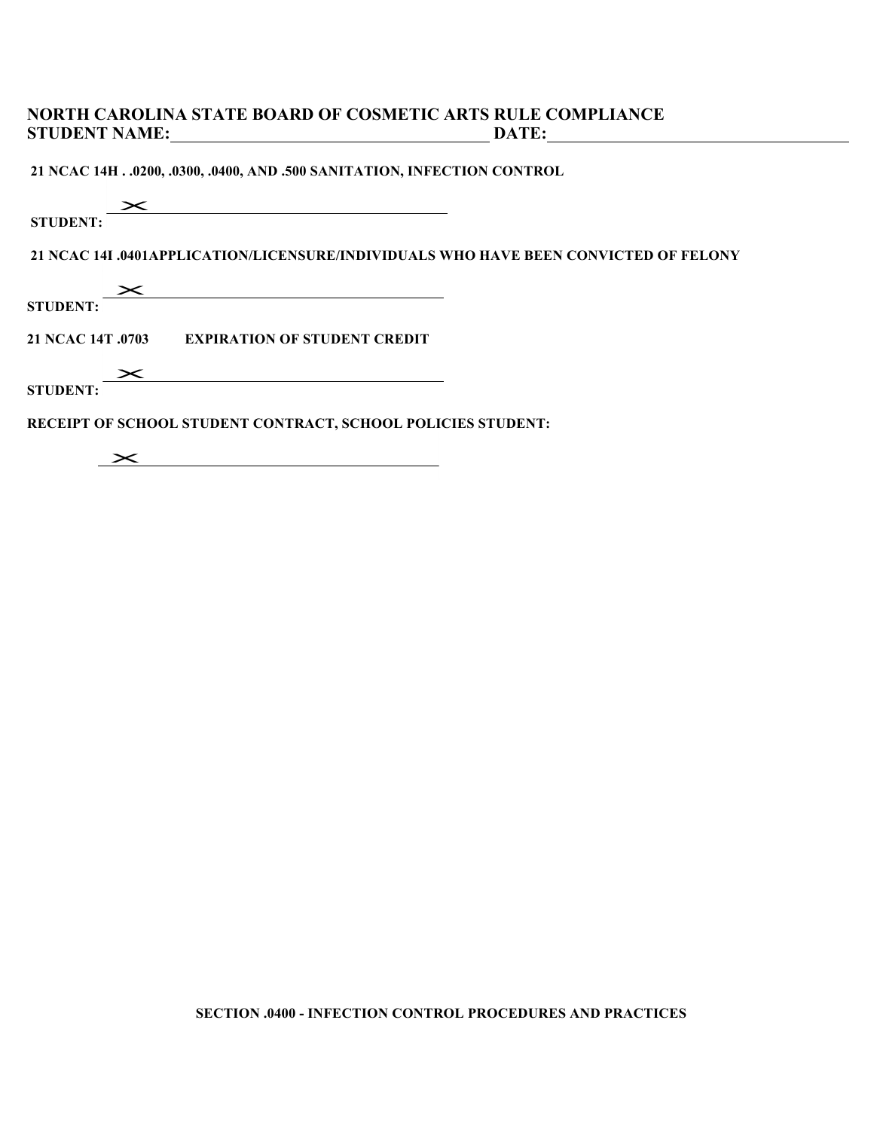## **NORTH CAROLINA STATE BOARD OF COSMETIC ARTS RULE COMPLIANCE STUDENT NAME: DATE:**

**21 NCAC 14H . .0200, .0300, .0400, AND .500 SANITATION, INFECTION CONTROL**

## $\mathbf{\times}$

**STUDENT:**

**21 NCAC 14I .0401APPLICATION/LICENSURE/INDIVIDUALS WHO HAVE BEEN CONVICTED OF FELONY**

 $\overline{\phantom{0}}$ 

STUDENT:

**21 NCAC 14T .0703 EXPIRATION OF STUDENT CREDIT**

 $\mathbf{\times}$ 

**STUDENT:** 

**RECEIPT OF SCHOOL STUDENT CONTRACT, SCHOOL POLICIES STUDENT:** 

 $\mathbf{\times}$ 

**SECTION .0400 - INFECTION CONTROL PROCEDURES AND PRACTICES**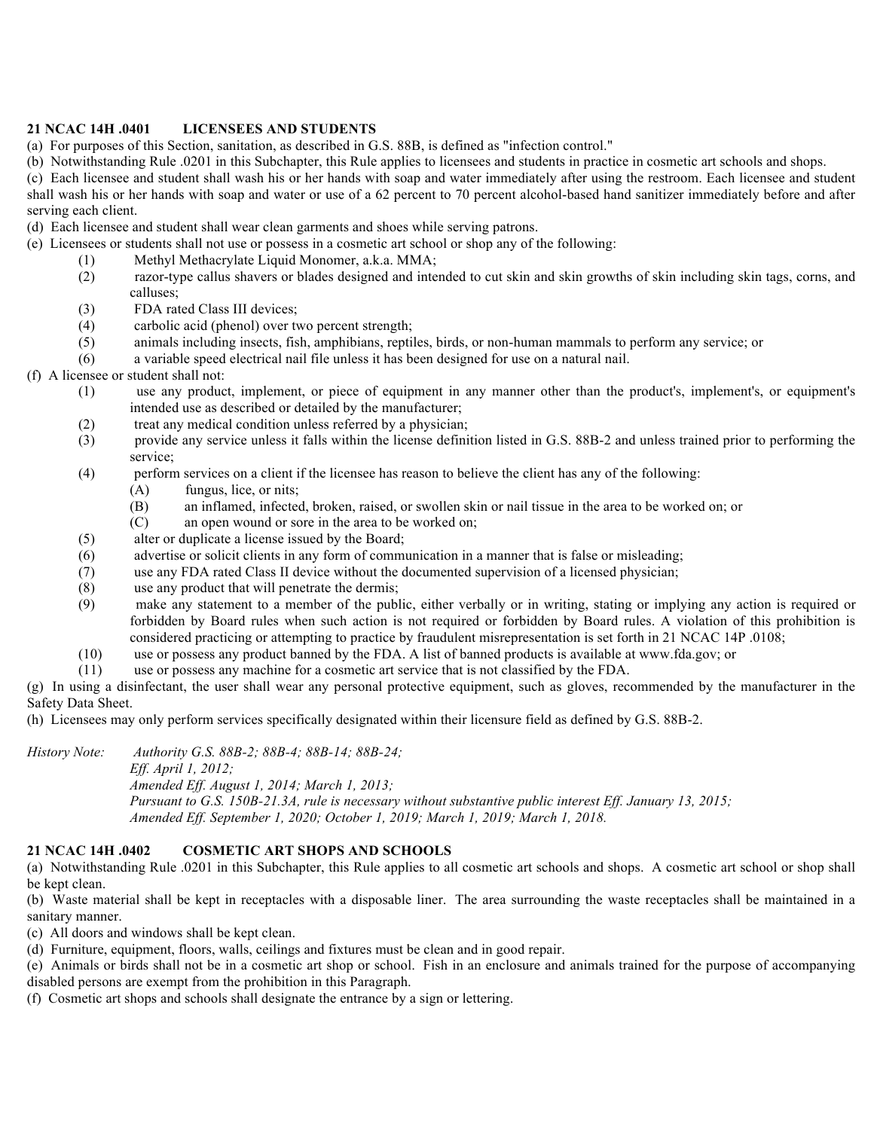### **21 NCAC 14H .0401 LICENSEES AND STUDENTS**

(a) For purposes of this Section, sanitation, as described in G.S. 88B, is defined as "infection control."

(b) Notwithstanding Rule .0201 in this Subchapter, this Rule applies to licensees and students in practice in cosmetic art schools and shops.

(c) Each licensee and student shall wash his or her hands with soap and water immediately after using the restroom. Each licensee and student shall wash his or her hands with soap and water or use of a 62 percent to 70 percent alcohol-based hand sanitizer immediately before and after serving each client.

(d) Each licensee and student shall wear clean garments and shoes while serving patrons.

(e) Licensees or students shall not use or possess in a cosmetic art school or shop any of the following:

- (1) Methyl Methacrylate Liquid Monomer, a.k.a. MMA;
- (2) razor-type callus shavers or blades designed and intended to cut skin and skin growths of skin including skin tags, corns, and calluses;
- (3) FDA rated Class III devices;
- (4) carbolic acid (phenol) over two percent strength;
- (5) animals including insects, fish, amphibians, reptiles, birds, or non-human mammals to perform any service; or
- (6) a variable speed electrical nail file unless it has been designed for use on a natural nail.

### (f) A licensee or student shall not:

- (1) use any product, implement, or piece of equipment in any manner other than the product's, implement's, or equipment's intended use as described or detailed by the manufacturer;
- (2) treat any medical condition unless referred by a physician;
- (3) provide any service unless it falls within the license definition listed in G.S. 88B-2 and unless trained prior to performing the service;
- (4) perform services on a client if the licensee has reason to believe the client has any of the following:
	- (A) fungus, lice, or nits;
	- (B) an inflamed, infected, broken, raised, or swollen skin or nail tissue in the area to be worked on; or
	- (C) an open wound or sore in the area to be worked on;
- (5) alter or duplicate a license issued by the Board;
- (6) advertise or solicit clients in any form of communication in a manner that is false or misleading;
- (7) use any FDA rated Class II device without the documented supervision of a licensed physician;
- (8) use any product that will penetrate the dermis;
- (9) make any statement to a member of the public, either verbally or in writing, stating or implying any action is required or forbidden by Board rules when such action is not required or forbidden by Board rules. A violation of this prohibition is considered practicing or attempting to practice by fraudulent misrepresentation is set forth in 21 NCAC 14P .0108;
- (10) use or possess any product banned by the FDA. A list of banned products is available at www.fda.gov; or
- (11) use or possess any machine for a cosmetic art service that is not classified by the FDA.

(g) In using a disinfectant, the user shall wear any personal protective equipment, such as gloves, recommended by the manufacturer in the Safety Data Sheet.

(h) Licensees may only perform services specifically designated within their licensure field as defined by G.S. 88B-2.

*History Note: Authority G.S. 88B-2; 88B-4; 88B-14; 88B-24;*

*Eff. April 1, 2012;*

*Amended Eff. August 1, 2014; March 1, 2013;*

*Pursuant to G.S. 150B-21.3A, rule is necessary without substantive public interest Eff. January 13, 2015; Amended Eff. September 1, 2020; October 1, 2019; March 1, 2019; March 1, 2018.*

### **21 NCAC 14H .0402 COSMETIC ART SHOPS AND SCHOOLS**

(a) Notwithstanding Rule .0201 in this Subchapter, this Rule applies to all cosmetic art schools and shops. A cosmetic art school or shop shall be kept clean.

(b) Waste material shall be kept in receptacles with a disposable liner. The area surrounding the waste receptacles shall be maintained in a sanitary manner.

(c) All doors and windows shall be kept clean.

(d) Furniture, equipment, floors, walls, ceilings and fixtures must be clean and in good repair.

(e) Animals or birds shall not be in a cosmetic art shop or school. Fish in an enclosure and animals trained for the purpose of accompanying disabled persons are exempt from the prohibition in this Paragraph.

(f) Cosmetic art shops and schools shall designate the entrance by a sign or lettering.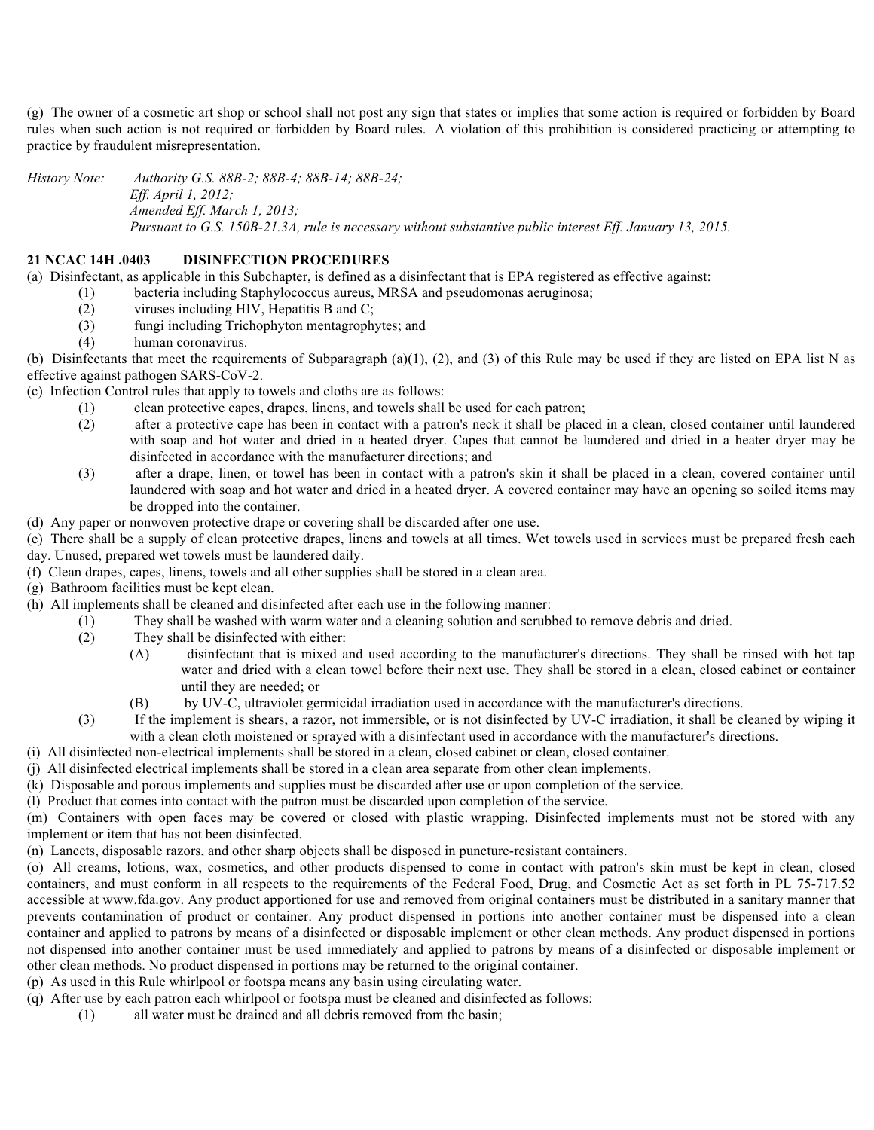(g) The owner of a cosmetic art shop or school shall not post any sign that states or implies that some action is required or forbidden by Board rules when such action is not required or forbidden by Board rules. A violation of this prohibition is considered practicing or attempting to practice by fraudulent misrepresentation.

*History Note: Authority G.S. 88B-2; 88B-4; 88B-14; 88B-24; Eff. April 1, 2012; Amended Eff. March 1, 2013; Pursuant to G.S. 150B-21.3A, rule is necessary without substantive public interest Eff. January 13, 2015.*

#### **21 NCAC 14H .0403 DISINFECTION PROCEDURES**

(a) Disinfectant, as applicable in this Subchapter, is defined as a disinfectant that is EPA registered as effective against:

- (1) bacteria including Staphylococcus aureus, MRSA and pseudomonas aeruginosa;
	- (2) viruses including HIV, Hepatitis B and C;
	- (3) fungi including Trichophyton mentagrophytes; and
	- (4) human coronavirus.

(b) Disinfectants that meet the requirements of Subparagraph (a)(1), (2), and (3) of this Rule may be used if they are listed on EPA list N as effective against pathogen SARS-CoV-2.

(c) Infection Control rules that apply to towels and cloths are as follows:

- (1) clean protective capes, drapes, linens, and towels shall be used for each patron;
- (2) after a protective cape has been in contact with a patron's neck it shall be placed in a clean, closed container until laundered with soap and hot water and dried in a heated dryer. Capes that cannot be laundered and dried in a heater dryer may be disinfected in accordance with the manufacturer directions; and
- (3) after a drape, linen, or towel has been in contact with a patron's skin it shall be placed in a clean, covered container until laundered with soap and hot water and dried in a heated dryer. A covered container may have an opening so soiled items may be dropped into the container.
- (d) Any paper or nonwoven protective drape or covering shall be discarded after one use.

(e) There shall be a supply of clean protective drapes, linens and towels at all times. Wet towels used in services must be prepared fresh each day. Unused, prepared wet towels must be laundered daily.

- (f) Clean drapes, capes, linens, towels and all other supplies shall be stored in a clean area.
- (g) Bathroom facilities must be kept clean.
- (h) All implements shall be cleaned and disinfected after each use in the following manner:
	- (1) They shall be washed with warm water and a cleaning solution and scrubbed to remove debris and dried.
	- (2) They shall be disinfected with either:
		- (A) disinfectant that is mixed and used according to the manufacturer's directions. They shall be rinsed with hot tap water and dried with a clean towel before their next use. They shall be stored in a clean, closed cabinet or container until they are needed; or
			- (B) by UV-C, ultraviolet germicidal irradiation used in accordance with the manufacturer's directions.
	- (3) If the implement is shears, a razor, not immersible, or is not disinfected by UV-C irradiation, it shall be cleaned by wiping it with a clean cloth moistened or sprayed with a disinfectant used in accordance with the manufacturer's directions.
- (i) All disinfected non-electrical implements shall be stored in a clean, closed cabinet or clean, closed container.
- (j) All disinfected electrical implements shall be stored in a clean area separate from other clean implements.
- (k) Disposable and porous implements and supplies must be discarded after use or upon completion of the service.
- (l) Product that comes into contact with the patron must be discarded upon completion of the service.

(m) Containers with open faces may be covered or closed with plastic wrapping. Disinfected implements must not be stored with any implement or item that has not been disinfected.

(n) Lancets, disposable razors, and other sharp objects shall be disposed in puncture-resistant containers.

(o) All creams, lotions, wax, cosmetics, and other products dispensed to come in contact with patron's skin must be kept in clean, closed containers, and must conform in all respects to the requirements of the Federal Food, Drug, and Cosmetic Act as set forth in PL 75-717.52 accessible at www.fda.gov. Any product apportioned for use and removed from original containers must be distributed in a sanitary manner that prevents contamination of product or container. Any product dispensed in portions into another container must be dispensed into a clean container and applied to patrons by means of a disinfected or disposable implement or other clean methods. Any product dispensed in portions not dispensed into another container must be used immediately and applied to patrons by means of a disinfected or disposable implement or other clean methods. No product dispensed in portions may be returned to the original container.

(p) As used in this Rule whirlpool or footspa means any basin using circulating water.

- (q) After use by each patron each whirlpool or footspa must be cleaned and disinfected as follows:
	- (1) all water must be drained and all debris removed from the basin;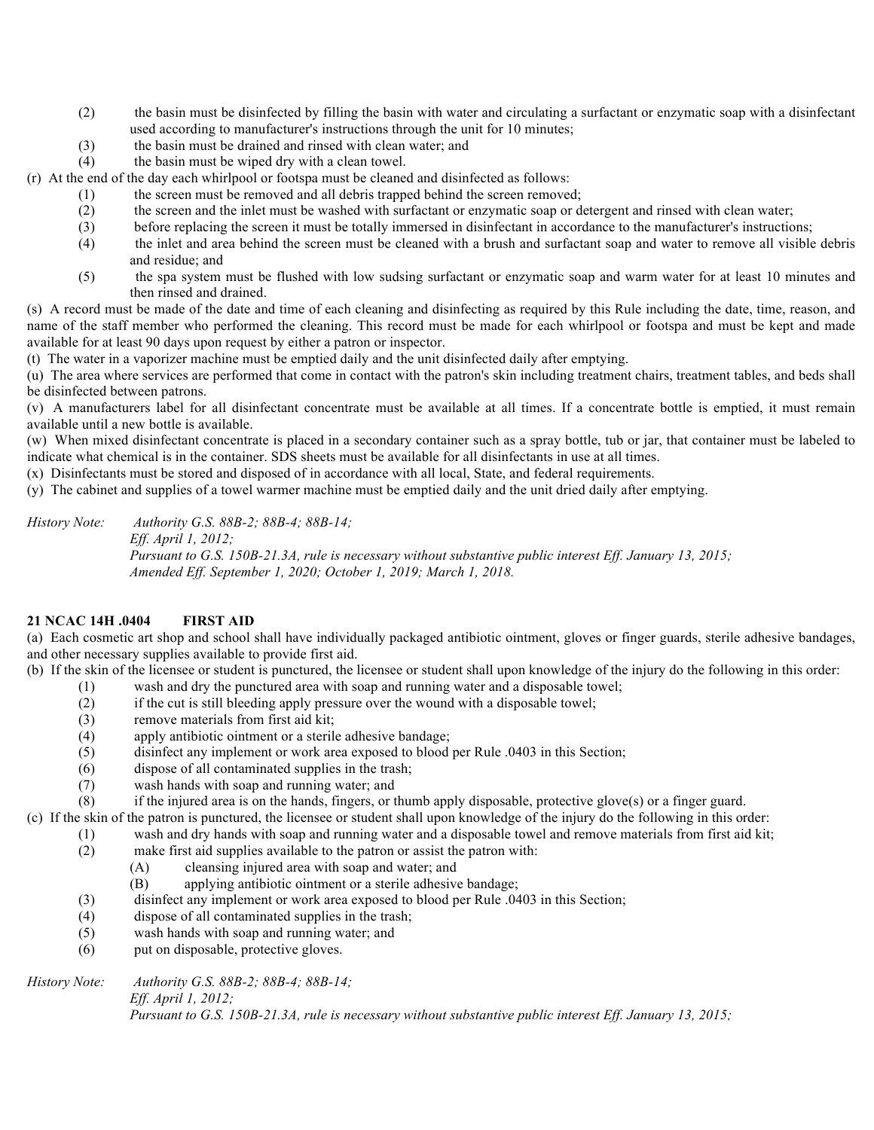- (2) the basin must be disinfected by filling the basin with water and circulating a surfactant or enzymatic soap with a disinfectant used according to manufacturer's instructions through the unit for 10 minutes;
- (3) the basin must be drained and rinsed with clean water; and
- (4) the basin must be wiped dry with a clean towel.

(r) At the end of the day each whirlpool or footspa must be cleaned and disinfected as follows:

- (1) the screen must be removed and all debris trapped behind the screen removed;
- (2) the screen and the inlet must be washed with surfactant or enzymatic soap or detergent and rinsed with clean water;
- (3) before replacing the screen it must be totally immersed in disinfectant in accordance to the manufacturer's instructions;
- (4) the inlet and area behind the screen must be cleaned with a brush and surfactant soap and water to remove all visible debris and residue; and
- (5) the spa system must be flushed with low sudsing surfactant or enzymatic soap and warm water for at least 10 minutes and then rinsed and drained.

(s) A record must be made of the date and time of each cleaning and disinfecting as required by this Rule including the date, time, reason, and name of the staff member who performed the cleaning. This record must be made for each whirlpool or footspa and must be kept and made available for at least 90 days upon request by either a patron or inspector.

(t) The water in a vaporizer machine must be emptied daily and the unit disinfected daily after emptying.

(u) The area where services are performed that come in contact with the patron's skin including treatment chairs, treatment tables, and beds shall be disinfected between patrons.

(v) A manufacturers label for all disinfectant concentrate must be available at all times. If a concentrate bottle is emptied, it must remain available until a new bottle is available.

(w) When mixed disinfectant concentrate is placed in a secondary container such as a spray bottle, tub or jar, that container must be labeled to indicate what chemical is in the container. SDS sheets must be available for all disinfectants in use at all times.

(x) Disinfectants must be stored and disposed of in accordance with all local, State, and federal requirements.

(y) The cabinet and supplies of a towel warmer machine must be emptied daily and the unit dried daily after emptying.

*History Note: Authority G.S. 88B-2; 88B-4; 88B-14; Eff. April 1, 2012; Pursuant to G.S. 150B-21.3A, rule is necessary without substantive public interest Eff. January 13, 2015; Amended Eff. September 1, 2020; October 1, 2019; March 1, 2018.*

#### **21 NCAC 14H .0404 FIRST AID**

(a) Each cosmetic art shop and school shall have individually packaged antibiotic ointment, gloves or finger guards, sterile adhesive bandages, and other necessary supplies available to provide first aid.

(b) If the skin of the licensee or student is punctured, the licensee or student shall upon knowledge of the injury do the following in this order:

- (1) wash and dry the punctured area with soap and running water and a disposable towel;
- (2) if the cut is still bleeding apply pressure over the wound with a disposable towel;
- (3) remove materials from first aid kit;
- (4) apply antibiotic ointment or a sterile adhesive bandage;
- (5) disinfect any implement or work area exposed to blood per Rule .0403 in this Section;
- (6) dispose of all contaminated supplies in the trash;
- (7) wash hands with soap and running water; and

(8) if the injured area is on the hands, fingers, or thumb apply disposable, protective glove(s) or a finger guard.

(c) If the skin of the patron is punctured, the licensee or student shall upon knowledge of the injury do the following in this order:

- (1) wash and dry hands with soap and running water and a disposable towel and remove materials from first aid kit;
- (2) make first aid supplies available to the patron or assist the patron with:
	- (A) cleansing injured area with soap and water; and
	- (B) applying antibiotic ointment or a sterile adhesive bandage;
- (3) disinfect any implement or work area exposed to blood per Rule .0403 in this Section;
- (4) dispose of all contaminated supplies in the trash;
- (5) wash hands with soap and running water; and
- (6) put on disposable, protective gloves.

*History Note: Authority G.S. 88B-2; 88B-4; 88B-14; Eff. April 1, 2012; Pursuant to G.S. 150B-21.3A, rule is necessary without substantive public interest Eff. January 13, 2015;*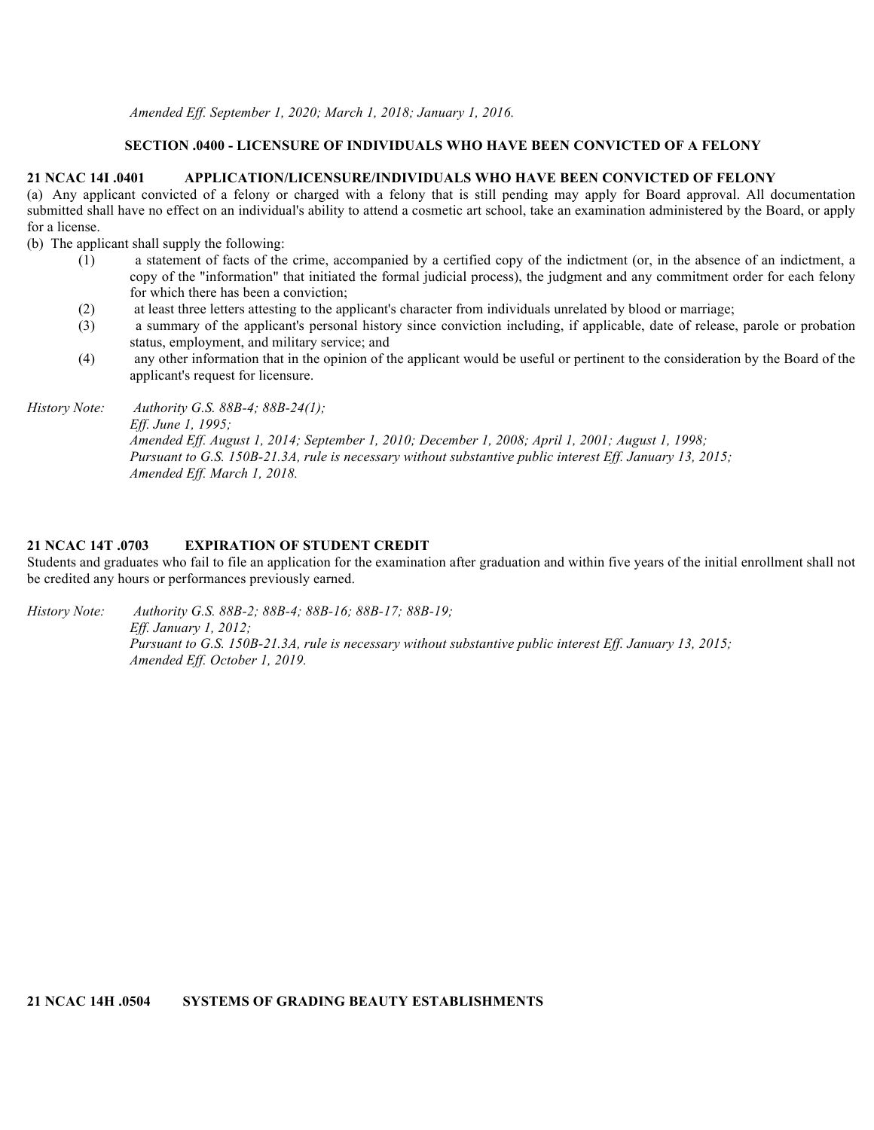### **SECTION .0400 - LICENSURE OF INDIVIDUALS WHO HAVE BEEN CONVICTED OF A FELONY**

#### **21 NCAC 14I .0401 APPLICATION/LICENSURE/INDIVIDUALS WHO HAVE BEEN CONVICTED OF FELONY**

(a) Any applicant convicted of a felony or charged with a felony that is still pending may apply for Board approval. All documentation submitted shall have no effect on an individual's ability to attend a cosmetic art school, take an examination administered by the Board, or apply for a license.

(b) The applicant shall supply the following:

- (1) a statement of facts of the crime, accompanied by a certified copy of the indictment (or, in the absence of an indictment, a copy of the "information" that initiated the formal judicial process), the judgment and any commitment order for each felony for which there has been a conviction;
- (2) at least three letters attesting to the applicant's character from individuals unrelated by blood or marriage;
- (3) a summary of the applicant's personal history since conviction including, if applicable, date of release, parole or probation status, employment, and military service; and
- (4) any other information that in the opinion of the applicant would be useful or pertinent to the consideration by the Board of the applicant's request for licensure.

*History Note: Authority G.S. 88B-4; 88B-24(1);*

*Eff. June 1, 1995; Amended Eff. August 1, 2014; September 1, 2010; December 1, 2008; April 1, 2001; August 1, 1998; Pursuant to G.S. 150B-21.3A, rule is necessary without substantive public interest Eff. January 13, 2015; Amended Eff. March 1, 2018.*

#### **21 NCAC 14T .0703 EXPIRATION OF STUDENT CREDIT**

Students and graduates who fail to file an application for the examination after graduation and within five years of the initial enrollment shall not be credited any hours or performances previously earned.

*History Note: Authority G.S. 88B-2; 88B-4; 88B-16; 88B-17; 88B-19; Eff. January 1, 2012; Pursuant to G.S. 150B-21.3A, rule is necessary without substantive public interest Eff. January 13, 2015; Amended Eff. October 1, 2019.*

**21 NCAC 14H .0504 SYSTEMS OF GRADING BEAUTY ESTABLISHMENTS**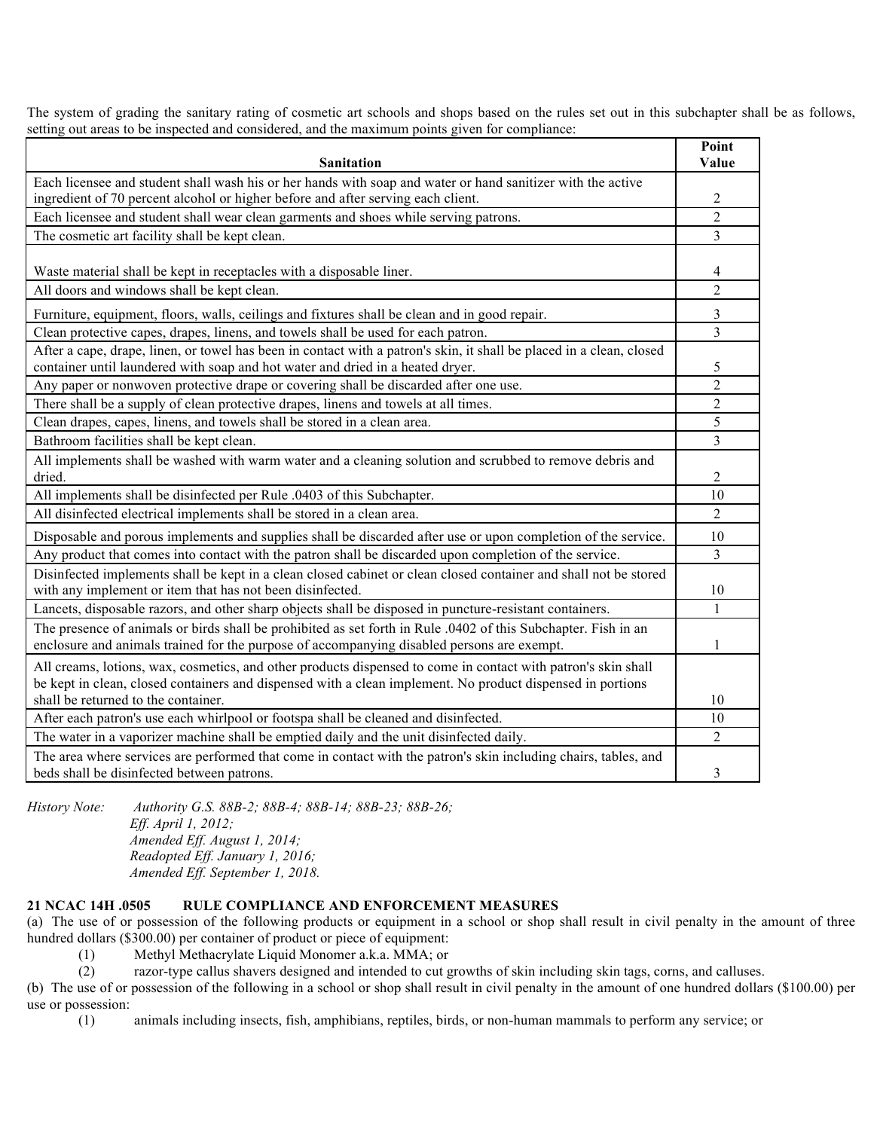The system of grading the sanitary rating of cosmetic art schools and shops based on the rules set out in this subchapter shall be as follows, setting out areas to be inspected and considered, and the maximum points given for compliance:

|                                                                                                                      | Point          |  |
|----------------------------------------------------------------------------------------------------------------------|----------------|--|
| <b>Sanitation</b>                                                                                                    | Value          |  |
| Each licensee and student shall wash his or her hands with soap and water or hand sanitizer with the active          |                |  |
| ingredient of 70 percent alcohol or higher before and after serving each client.                                     |                |  |
| Each licensee and student shall wear clean garments and shoes while serving patrons.                                 |                |  |
| The cosmetic art facility shall be kept clean.                                                                       |                |  |
|                                                                                                                      |                |  |
| Waste material shall be kept in receptacles with a disposable liner.                                                 | 4              |  |
| All doors and windows shall be kept clean.                                                                           | 2              |  |
| Furniture, equipment, floors, walls, ceilings and fixtures shall be clean and in good repair.                        | 3              |  |
| Clean protective capes, drapes, linens, and towels shall be used for each patron.                                    |                |  |
| After a cape, drape, linen, or towel has been in contact with a patron's skin, it shall be placed in a clean, closed |                |  |
| container until laundered with soap and hot water and dried in a heated dryer.                                       |                |  |
| Any paper or nonwoven protective drape or covering shall be discarded after one use.                                 | $\overline{2}$ |  |
| There shall be a supply of clean protective drapes, linens and towels at all times.                                  | $\overline{c}$ |  |
| Clean drapes, capes, linens, and towels shall be stored in a clean area.                                             | 5              |  |
| Bathroom facilities shall be kept clean.                                                                             | $\overline{3}$ |  |
| All implements shall be washed with warm water and a cleaning solution and scrubbed to remove debris and             |                |  |
| dried.                                                                                                               | 2              |  |
| All implements shall be disinfected per Rule .0403 of this Subchapter.                                               | 10             |  |
| All disinfected electrical implements shall be stored in a clean area.                                               | $\overline{2}$ |  |
| Disposable and porous implements and supplies shall be discarded after use or upon completion of the service.        |                |  |
| Any product that comes into contact with the patron shall be discarded upon completion of the service.               |                |  |
| Disinfected implements shall be kept in a clean closed cabinet or clean closed container and shall not be stored     |                |  |
| with any implement or item that has not been disinfected.                                                            | 10             |  |
| Lancets, disposable razors, and other sharp objects shall be disposed in puncture-resistant containers.              | $\mathbf{1}$   |  |
| The presence of animals or birds shall be prohibited as set forth in Rule 0.0402 of this Subchapter. Fish in an      |                |  |
| enclosure and animals trained for the purpose of accompanying disabled persons are exempt.                           | 1              |  |
| All creams, lotions, wax, cosmetics, and other products dispensed to come in contact with patron's skin shall        |                |  |
| be kept in clean, closed containers and dispensed with a clean implement. No product dispensed in portions           |                |  |
| shall be returned to the container.                                                                                  | 10             |  |
| After each patron's use each whirlpool or footspa shall be cleaned and disinfected.                                  | 10             |  |
| The water in a vaporizer machine shall be emptied daily and the unit disinfected daily.                              | $\overline{2}$ |  |
| The area where services are performed that come in contact with the patron's skin including chairs, tables, and      |                |  |
| beds shall be disinfected between patrons.                                                                           | 3              |  |

*History Note: Authority G.S. 88B-2; 88B-4; 88B-14; 88B-23; 88B-26; Eff. April 1, 2012; Amended Eff. August 1, 2014; Readopted Eff. January 1, 2016;*

*Amended Eff. September 1, 2018.*

#### **21 NCAC 14H .0505 RULE COMPLIANCE AND ENFORCEMENT MEASURES**

(a) The use of or possession of the following products or equipment in a school or shop shall result in civil penalty in the amount of three hundred dollars (\$300.00) per container of product or piece of equipment:

(1) Methyl Methacrylate Liquid Monomer a.k.a. MMA; or

(2) razor-type callus shavers designed and intended to cut growths of skin including skin tags, corns, and calluses.

(b) The use of or possession of the following in a school or shop shall result in civil penalty in the amount of one hundred dollars (\$100.00) per use or possession:

(1) animals including insects, fish, amphibians, reptiles, birds, or non-human mammals to perform any service; or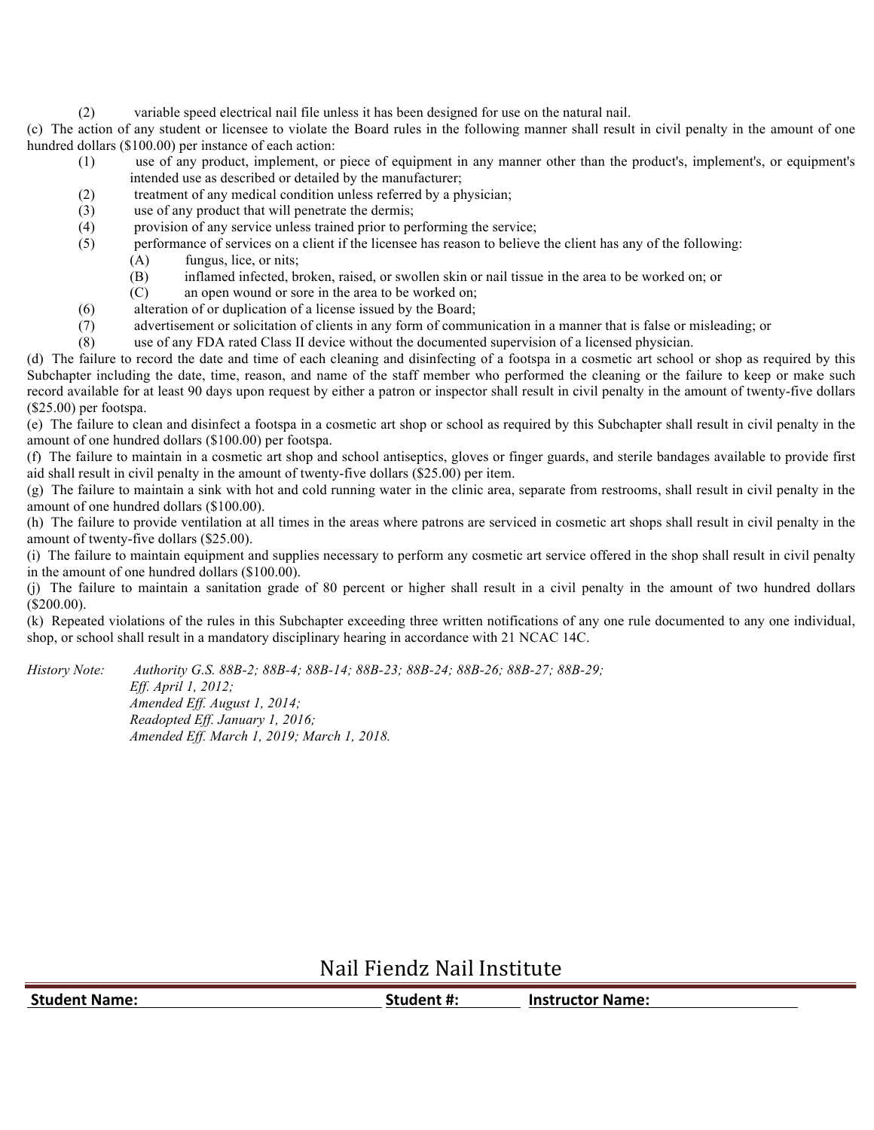(2) variable speed electrical nail file unless it has been designed for use on the natural nail.

(c) The action of any student or licensee to violate the Board rules in the following manner shall result in civil penalty in the amount of one hundred dollars (\$100.00) per instance of each action:

- (1) use of any product, implement, or piece of equipment in any manner other than the product's, implement's, or equipment's intended use as described or detailed by the manufacturer;
- (2) treatment of any medical condition unless referred by a physician;
- (3) use of any product that will penetrate the dermis;
- (4) provision of any service unless trained prior to performing the service;
- (5) performance of services on a client if the licensee has reason to believe the client has any of the following:
	- (A) fungus, lice, or nits;
	- (B) inflamed infected, broken, raised, or swollen skin or nail tissue in the area to be worked on; or
	- (C) an open wound or sore in the area to be worked on;
- (6) alteration of or duplication of a license issued by the Board;
- (7) advertisement or solicitation of clients in any form of communication in a manner that is false or misleading; or
- (8) use of any FDA rated Class II device without the documented supervision of a licensed physician.

(d) The failure to record the date and time of each cleaning and disinfecting of a footspa in a cosmetic art school or shop as required by this Subchapter including the date, time, reason, and name of the staff member who performed the cleaning or the failure to keep or make such record available for at least 90 days upon request by either a patron or inspector shall result in civil penalty in the amount of twenty-five dollars (\$25.00) per footspa.

(e) The failure to clean and disinfect a footspa in a cosmetic art shop or school as required by this Subchapter shall result in civil penalty in the amount of one hundred dollars (\$100.00) per footspa.

(f) The failure to maintain in a cosmetic art shop and school antiseptics, gloves or finger guards, and sterile bandages available to provide first aid shall result in civil penalty in the amount of twenty-five dollars (\$25.00) per item.

(g) The failure to maintain a sink with hot and cold running water in the clinic area, separate from restrooms, shall result in civil penalty in the amount of one hundred dollars (\$100.00).

(h) The failure to provide ventilation at all times in the areas where patrons are serviced in cosmetic art shops shall result in civil penalty in the amount of twenty-five dollars (\$25.00).

(i) The failure to maintain equipment and supplies necessary to perform any cosmetic art service offered in the shop shall result in civil penalty in the amount of one hundred dollars (\$100.00).

(j) The failure to maintain a sanitation grade of 80 percent or higher shall result in a civil penalty in the amount of two hundred dollars (\$200.00).

(k) Repeated violations of the rules in this Subchapter exceeding three written notifications of any one rule documented to any one individual, shop, or school shall result in a mandatory disciplinary hearing in accordance with 21 NCAC 14C.

*History Note: Authority G.S. 88B-2; 88B-4; 88B-14; 88B-23; 88B-24; 88B-26; 88B-27; 88B-29;*

*Eff. April 1, 2012; Amended Eff. August 1, 2014; Readopted Eff. January 1, 2016; Amended Eff. March 1, 2019; March 1, 2018.*

Nail Fiendz Nail Institute

| <b>Student Name:</b> | Student #: | <b>Instructor Name:</b> |
|----------------------|------------|-------------------------|
|                      |            |                         |